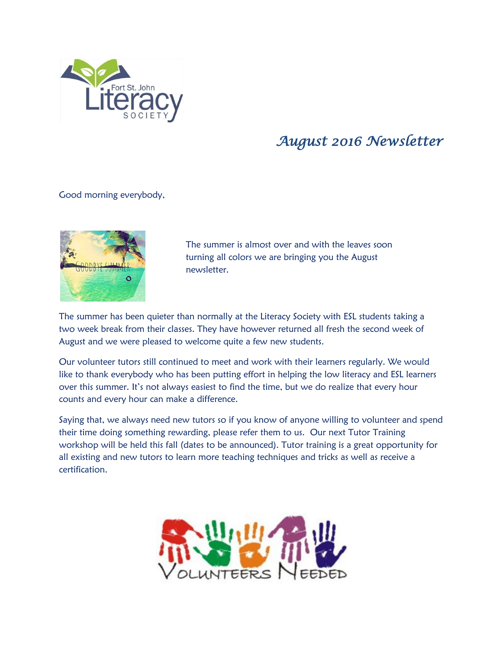

## *August 2016 Newsletter*

Good morning everybody,



The summer is almost over and with the leaves soon turning all colors we are bringing you the August newsletter.

The summer has been quieter than normally at the Literacy Society with ESL students taking a two week break from their classes. They have however returned all fresh the second week of August and we were pleased to welcome quite a few new students.

Our volunteer tutors still continued to meet and work with their learners regularly. We would like to thank everybody who has been putting effort in helping the low literacy and ESL learners over this summer. It's not always easiest to find the time, but we do realize that every hour counts and every hour can make a difference.

Saying that, we always need new tutors so if you know of anyone willing to volunteer and spend their time doing something rewarding, please refer them to us. Our next Tutor Training workshop will be held this fall (dates to be announced). Tutor training is a great opportunity for all existing and new tutors to learn more teaching techniques and tricks as well as receive a certification.